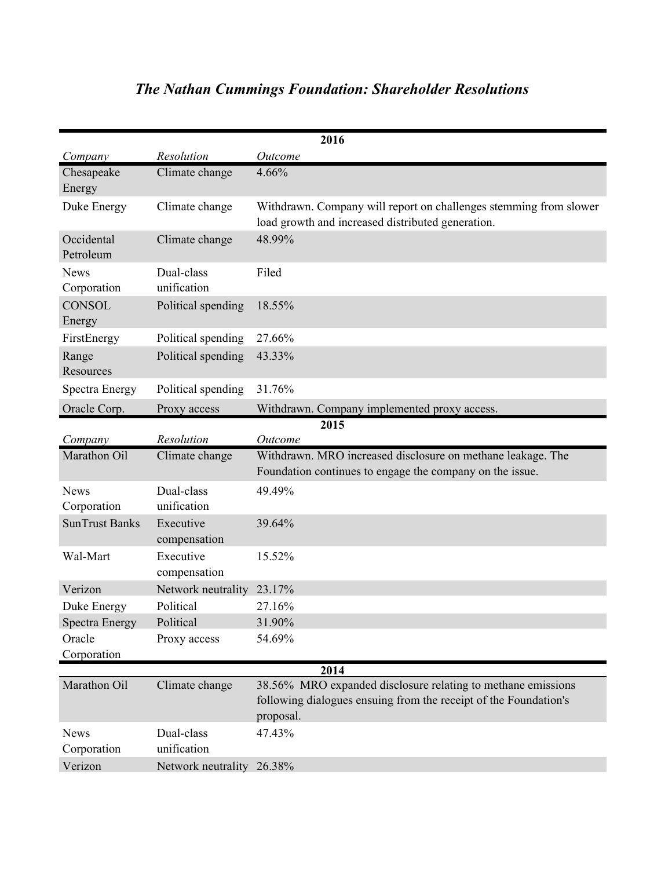| 2016                       |                           |                                                                                                                                               |
|----------------------------|---------------------------|-----------------------------------------------------------------------------------------------------------------------------------------------|
| Company                    | Resolution                | Outcome                                                                                                                                       |
| Chesapeake                 | Climate change            | 4.66%                                                                                                                                         |
| Energy                     |                           |                                                                                                                                               |
| Duke Energy                | Climate change            | Withdrawn. Company will report on challenges stemming from slower<br>load growth and increased distributed generation.                        |
| Occidental<br>Petroleum    | Climate change            | 48.99%                                                                                                                                        |
| <b>News</b><br>Corporation | Dual-class<br>unification | Filed                                                                                                                                         |
| <b>CONSOL</b><br>Energy    | Political spending        | 18.55%                                                                                                                                        |
| FirstEnergy                | Political spending        | 27.66%                                                                                                                                        |
| Range<br>Resources         | Political spending        | 43.33%                                                                                                                                        |
| Spectra Energy             | Political spending        | 31.76%                                                                                                                                        |
| Oracle Corp.               | Proxy access              | Withdrawn. Company implemented proxy access.                                                                                                  |
|                            |                           | 2015                                                                                                                                          |
| Company                    | Resolution                | Outcome                                                                                                                                       |
|                            |                           |                                                                                                                                               |
| Marathon Oil               | Climate change            | Withdrawn. MRO increased disclosure on methane leakage. The<br>Foundation continues to engage the company on the issue.                       |
| <b>News</b>                | Dual-class                | 49.49%                                                                                                                                        |
| Corporation                | unification               |                                                                                                                                               |
| <b>SunTrust Banks</b>      | Executive<br>compensation | 39.64%                                                                                                                                        |
| Wal-Mart                   | Executive<br>compensation | 15.52%                                                                                                                                        |
| Verizon                    | Network neutrality        | 23.17%                                                                                                                                        |
| Duke Energy                | Political                 | 27.16%                                                                                                                                        |
| Spectra Energy             | Political                 | 31.90%                                                                                                                                        |
| Oracle                     | Proxy access              | 54.69%                                                                                                                                        |
| Corporation                |                           |                                                                                                                                               |
|                            |                           | 2014                                                                                                                                          |
| Marathon Oil               | Climate change            | 38.56% MRO expanded disclosure relating to methane emissions<br>following dialogues ensuing from the receipt of the Foundation's<br>proposal. |
| <b>News</b>                | Dual-class                | 47.43%                                                                                                                                        |
| Corporation                | unification               |                                                                                                                                               |

## *The Nathan Cummings Foundation: Shareholder Resolutions*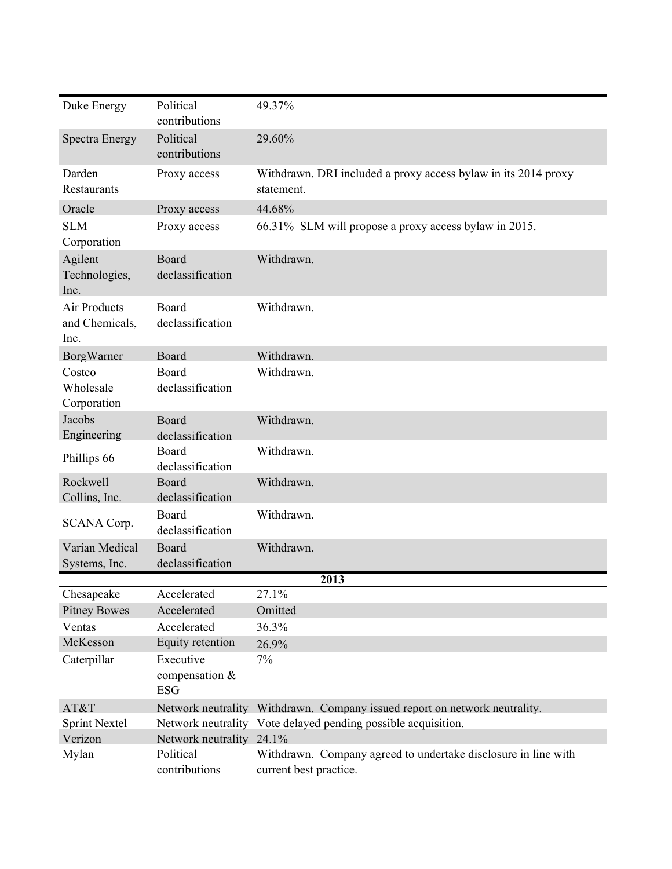| Duke Energy                                   | Political<br>contributions                  | 49.37%                                                                                   |
|-----------------------------------------------|---------------------------------------------|------------------------------------------------------------------------------------------|
| <b>Spectra Energy</b>                         | Political<br>contributions                  | 29.60%                                                                                   |
| Darden<br>Restaurants                         | Proxy access                                | Withdrawn. DRI included a proxy access bylaw in its 2014 proxy<br>statement.             |
| Oracle                                        | Proxy access                                | 44.68%                                                                                   |
| <b>SLM</b><br>Corporation                     | Proxy access                                | 66.31% SLM will propose a proxy access bylaw in 2015.                                    |
| Agilent<br>Technologies,<br>Inc.              | Board<br>declassification                   | Withdrawn.                                                                               |
| <b>Air Products</b><br>and Chemicals,<br>Inc. | Board<br>declassification                   | Withdrawn.                                                                               |
| BorgWarner                                    | Board                                       | Withdrawn.                                                                               |
| Costco<br>Wholesale<br>Corporation            | Board<br>declassification                   | Withdrawn.                                                                               |
| Jacobs<br>Engineering                         | Board<br>declassification                   | Withdrawn.                                                                               |
| Phillips 66                                   | Board<br>declassification                   | Withdrawn.                                                                               |
| Rockwell<br>Collins, Inc.                     | Board<br>declassification                   | Withdrawn.                                                                               |
| SCANA Corp.                                   | Board<br>declassification                   | Withdrawn.                                                                               |
| Varian Medical                                | Board                                       | Withdrawn.                                                                               |
| Systems, Inc.                                 | declassification                            |                                                                                          |
|                                               |                                             | 2013                                                                                     |
| Chesapeake                                    | Accelerated                                 | 27.1%                                                                                    |
| <b>Pitney Bowes</b>                           | Accelerated                                 | Omitted                                                                                  |
| Ventas                                        | Accelerated                                 | 36.3%                                                                                    |
| McKesson                                      | Equity retention                            | 26.9%                                                                                    |
| Caterpillar                                   | Executive<br>compensation $&$<br><b>ESG</b> | 7%                                                                                       |
| AT&T                                          |                                             | Network neutrality Withdrawn. Company issued report on network neutrality.               |
| <b>Sprint Nextel</b>                          |                                             | Network neutrality Vote delayed pending possible acquisition.                            |
| Verizon                                       | Network neutrality 24.1%                    |                                                                                          |
| Mylan                                         | Political<br>contributions                  | Withdrawn. Company agreed to undertake disclosure in line with<br>current best practice. |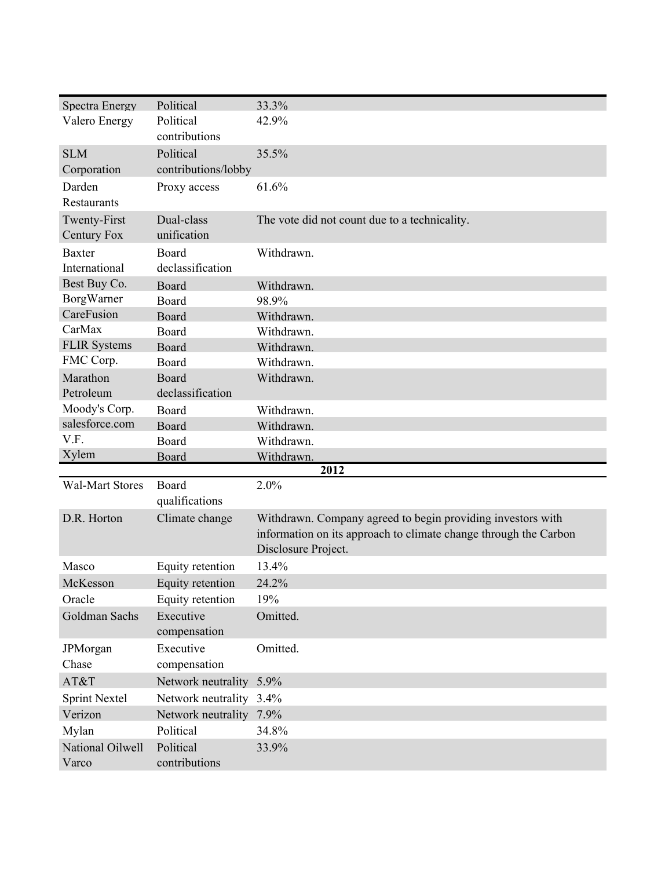| Spectra Energy         | Political               | 33.3%                                                            |
|------------------------|-------------------------|------------------------------------------------------------------|
| Valero Energy          | Political               | 42.9%                                                            |
|                        | contributions           |                                                                  |
| <b>SLM</b>             | Political               | 35.5%                                                            |
| Corporation            | contributions/lobby     |                                                                  |
| Darden                 | Proxy access            | 61.6%                                                            |
| Restaurants            |                         |                                                                  |
| Twenty-First           | Dual-class              | The vote did not count due to a technicality.                    |
| <b>Century Fox</b>     | unification             |                                                                  |
| <b>Baxter</b>          | Board                   | Withdrawn.                                                       |
| International          | declassification        |                                                                  |
| Best Buy Co.           | Board                   | Withdrawn.                                                       |
| BorgWarner             | Board                   | 98.9%                                                            |
| CareFusion             | Board                   | Withdrawn.                                                       |
| CarMax                 | Board                   | Withdrawn.                                                       |
| <b>FLIR Systems</b>    | Board                   | Withdrawn.                                                       |
| FMC Corp.              | Board                   | Withdrawn.                                                       |
| Marathon               | Board                   | Withdrawn.                                                       |
| Petroleum              | declassification        |                                                                  |
| Moody's Corp.          | Board                   | Withdrawn.                                                       |
| salesforce.com         | Board                   | Withdrawn.                                                       |
|                        |                         |                                                                  |
| V.F.                   | Board                   | Withdrawn.                                                       |
| Xylem                  | Board                   | Withdrawn.                                                       |
|                        |                         | 2012                                                             |
| <b>Wal-Mart Stores</b> | Board<br>qualifications | 2.0%                                                             |
| D.R. Horton            | Climate change          | Withdrawn. Company agreed to begin providing investors with      |
|                        |                         | information on its approach to climate change through the Carbon |
|                        |                         | Disclosure Project.                                              |
| Masco                  | Equity retention        | 13.4%                                                            |
| McKesson               | Equity retention        | 24.2%                                                            |
| Oracle                 | Equity retention        | 19%                                                              |
| Goldman Sachs          | Executive               | Omitted.                                                         |
|                        | compensation            |                                                                  |
| JPMorgan               | Executive               | Omitted.                                                         |
| Chase                  | compensation            |                                                                  |
| AT&T                   | Network neutrality      | 5.9%                                                             |
| <b>Sprint Nextel</b>   | Network neutrality 3.4% |                                                                  |
| Verizon                | Network neutrality      | 7.9%                                                             |
| Mylan                  | Political               | 34.8%                                                            |
| National Oilwell       | Political               | 33.9%                                                            |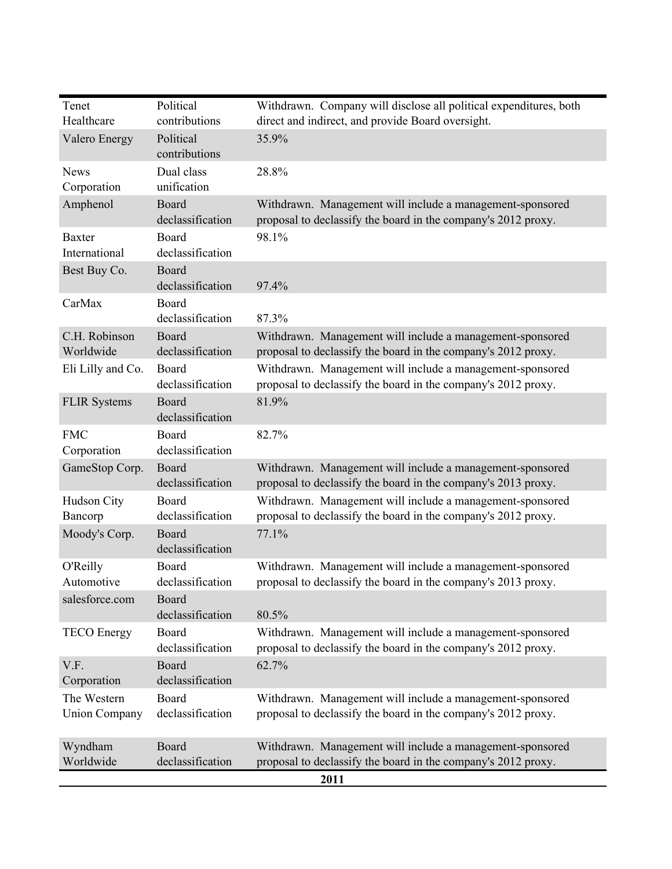| Healthcare                          | contributions              | Withdrawn. Company will disclose all political expenditures, both<br>direct and indirect, and provide Board oversight.             |
|-------------------------------------|----------------------------|------------------------------------------------------------------------------------------------------------------------------------|
| Valero Energy                       | Political<br>contributions | 35.9%                                                                                                                              |
| <b>News</b><br>Corporation          | Dual class<br>unification  | 28.8%                                                                                                                              |
| Amphenol                            | Board<br>declassification  | Withdrawn. Management will include a management-sponsored<br>proposal to declassify the board in the company's 2012 proxy.         |
| <b>Baxter</b><br>International      | Board<br>declassification  | 98.1%                                                                                                                              |
| Best Buy Co.                        | Board<br>declassification  | 97.4%                                                                                                                              |
| CarMax                              | Board<br>declassification  | 87.3%                                                                                                                              |
| C.H. Robinson<br>Worldwide          | Board<br>declassification  | Withdrawn. Management will include a management-sponsored<br>proposal to declassify the board in the company's 2012 proxy.         |
| Eli Lilly and Co.                   | Board<br>declassification  | Withdrawn. Management will include a management-sponsored<br>proposal to declassify the board in the company's 2012 proxy.         |
| <b>FLIR Systems</b>                 | Board<br>declassification  | 81.9%                                                                                                                              |
| <b>FMC</b><br>Corporation           | Board<br>declassification  | 82.7%                                                                                                                              |
| GameStop Corp.                      | Board<br>declassification  | Withdrawn. Management will include a management-sponsored<br>proposal to declassify the board in the company's 2013 proxy.         |
| Hudson City<br>Bancorp              | Board<br>declassification  | Withdrawn. Management will include a management-sponsored<br>proposal to declassify the board in the company's 2012 proxy.         |
| Moody's Corp.                       | Board<br>declassification  | 77.1%                                                                                                                              |
| O'Reilly<br>Automotive              | Board<br>declassification  | Withdrawn. Management will include a management-sponsored<br>proposal to declassify the board in the company's 2013 proxy.         |
| salesforce.com                      | Board<br>declassification  | 80.5%                                                                                                                              |
| <b>TECO</b> Energy                  | Board<br>declassification  | Withdrawn. Management will include a management-sponsored<br>proposal to declassify the board in the company's 2012 proxy.         |
| V.F.<br>Corporation                 | Board<br>declassification  | 62.7%                                                                                                                              |
| The Western<br><b>Union Company</b> | Board<br>declassification  | Withdrawn. Management will include a management-sponsored<br>proposal to declassify the board in the company's 2012 proxy.         |
| Wyndham<br>Worldwide                | Board<br>declassification  | Withdrawn. Management will include a management-sponsored<br>proposal to declassify the board in the company's 2012 proxy.<br>2011 |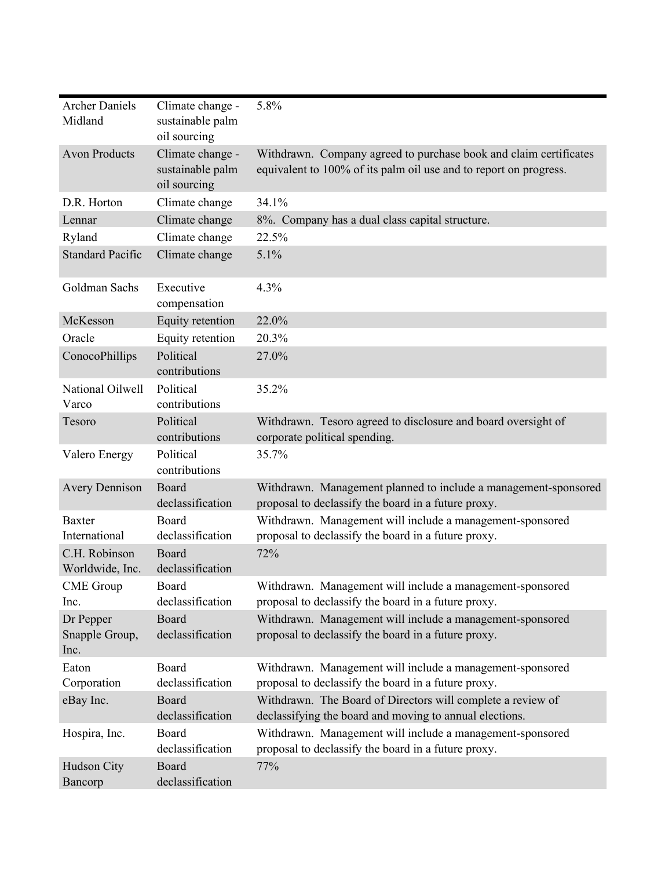| <b>Archer Daniels</b><br>Midland    | Climate change -<br>sustainable palm<br>oil sourcing | 5.8%                                                                                                                                   |
|-------------------------------------|------------------------------------------------------|----------------------------------------------------------------------------------------------------------------------------------------|
| <b>Avon Products</b>                | Climate change -<br>sustainable palm<br>oil sourcing | Withdrawn. Company agreed to purchase book and claim certificates<br>equivalent to 100% of its palm oil use and to report on progress. |
| D.R. Horton                         | Climate change                                       | 34.1%                                                                                                                                  |
| Lennar                              | Climate change                                       | 8%. Company has a dual class capital structure.                                                                                        |
| Ryland                              | Climate change                                       | 22.5%                                                                                                                                  |
| <b>Standard Pacific</b>             | Climate change                                       | 5.1%                                                                                                                                   |
| Goldman Sachs                       | Executive<br>compensation                            | 4.3%                                                                                                                                   |
| McKesson                            | Equity retention                                     | 22.0%                                                                                                                                  |
| Oracle                              | Equity retention                                     | 20.3%                                                                                                                                  |
| ConocoPhillips                      | Political<br>contributions                           | 27.0%                                                                                                                                  |
| National Oilwell<br>Varco           | Political<br>contributions                           | 35.2%                                                                                                                                  |
| Tesoro                              | Political<br>contributions                           | Withdrawn. Tesoro agreed to disclosure and board oversight of<br>corporate political spending.                                         |
| Valero Energy                       | Political<br>contributions                           | 35.7%                                                                                                                                  |
| <b>Avery Dennison</b>               | Board<br>declassification                            | Withdrawn. Management planned to include a management-sponsored<br>proposal to declassify the board in a future proxy.                 |
| <b>Baxter</b><br>International      | Board<br>declassification                            | Withdrawn. Management will include a management-sponsored<br>proposal to declassify the board in a future proxy.                       |
| C.H. Robinson<br>Worldwide, Inc.    | Board<br>declassification                            | 72%                                                                                                                                    |
| <b>CME</b> Group<br>Inc.            | Board<br>declassification                            | Withdrawn. Management will include a management-sponsored<br>proposal to declassify the board in a future proxy.                       |
| Dr Pepper<br>Snapple Group,<br>Inc. | Board<br>declassification                            | Withdrawn. Management will include a management-sponsored<br>proposal to declassify the board in a future proxy.                       |
| Eaton<br>Corporation                | Board<br>declassification                            | Withdrawn. Management will include a management-sponsored<br>proposal to declassify the board in a future proxy.                       |
| eBay Inc.                           | Board<br>declassification                            | Withdrawn. The Board of Directors will complete a review of<br>declassifying the board and moving to annual elections.                 |
| Hospira, Inc.                       | Board<br>declassification                            | Withdrawn. Management will include a management-sponsored<br>proposal to declassify the board in a future proxy.                       |
| Hudson City<br>Bancorp              | Board<br>declassification                            | 77%                                                                                                                                    |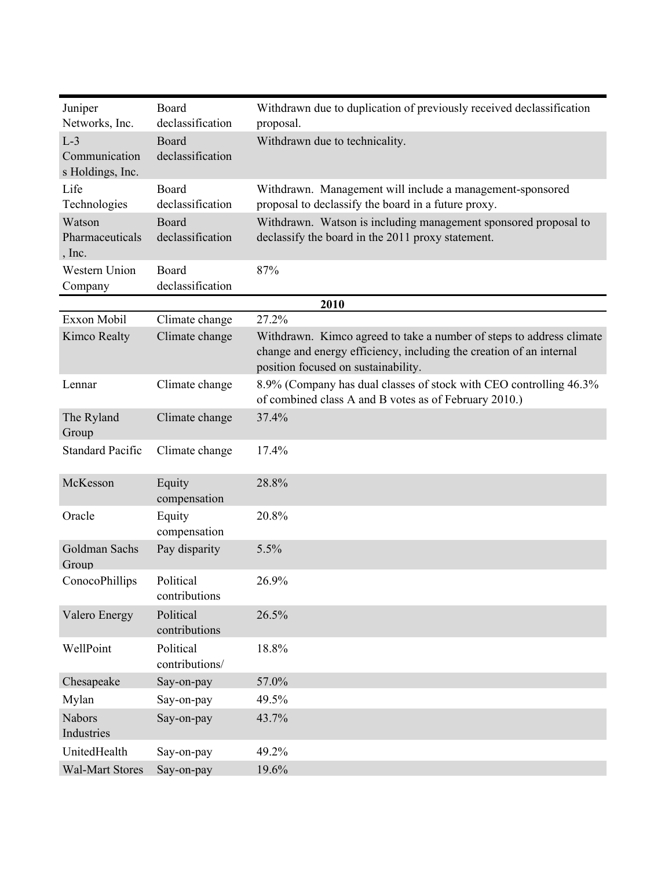| Juniper<br>Networks, Inc.                  | Board<br>declassification   | Withdrawn due to duplication of previously received declassification<br>proposal.                                                                                                  |
|--------------------------------------------|-----------------------------|------------------------------------------------------------------------------------------------------------------------------------------------------------------------------------|
| $L-3$<br>Communication<br>s Holdings, Inc. | Board<br>declassification   | Withdrawn due to technicality.                                                                                                                                                     |
| Life<br>Technologies                       | Board<br>declassification   | Withdrawn. Management will include a management-sponsored<br>proposal to declassify the board in a future proxy.                                                                   |
| Watson<br>Pharmaceuticals<br>$,$ Inc.      | Board<br>declassification   | Withdrawn. Watson is including management sponsored proposal to<br>declassify the board in the 2011 proxy statement.                                                               |
| Western Union<br>Company                   | Board<br>declassification   | 87%                                                                                                                                                                                |
|                                            |                             | 2010                                                                                                                                                                               |
| Exxon Mobil                                | Climate change              | 27.2%                                                                                                                                                                              |
| Kimco Realty                               | Climate change              | Withdrawn. Kimco agreed to take a number of steps to address climate<br>change and energy efficiency, including the creation of an internal<br>position focused on sustainability. |
| Lennar                                     | Climate change              | 8.9% (Company has dual classes of stock with CEO controlling 46.3%)<br>of combined class A and B votes as of February 2010.)                                                       |
| The Ryland<br>Group                        | Climate change              | 37.4%                                                                                                                                                                              |
| <b>Standard Pacific</b>                    | Climate change              | 17.4%                                                                                                                                                                              |
| McKesson                                   | Equity<br>compensation      | 28.8%                                                                                                                                                                              |
| Oracle                                     | Equity<br>compensation      | 20.8%                                                                                                                                                                              |
| Goldman Sachs<br>Group                     | Pay disparity               | 5.5%                                                                                                                                                                               |
| ConocoPhillips                             | Political<br>contributions  | 26.9%                                                                                                                                                                              |
| <b>Valero Energy</b>                       | Political<br>contributions  | 26.5%                                                                                                                                                                              |
| WellPoint                                  | Political<br>contributions/ | 18.8%                                                                                                                                                                              |
| Chesapeake                                 | Say-on-pay                  | 57.0%                                                                                                                                                                              |
| Mylan                                      | Say-on-pay                  | 49.5%                                                                                                                                                                              |
| <b>Nabors</b><br>Industries                | Say-on-pay                  | 43.7%                                                                                                                                                                              |
| UnitedHealth                               | Say-on-pay                  | 49.2%                                                                                                                                                                              |
| <b>Wal-Mart Stores</b>                     | Say-on-pay                  | 19.6%                                                                                                                                                                              |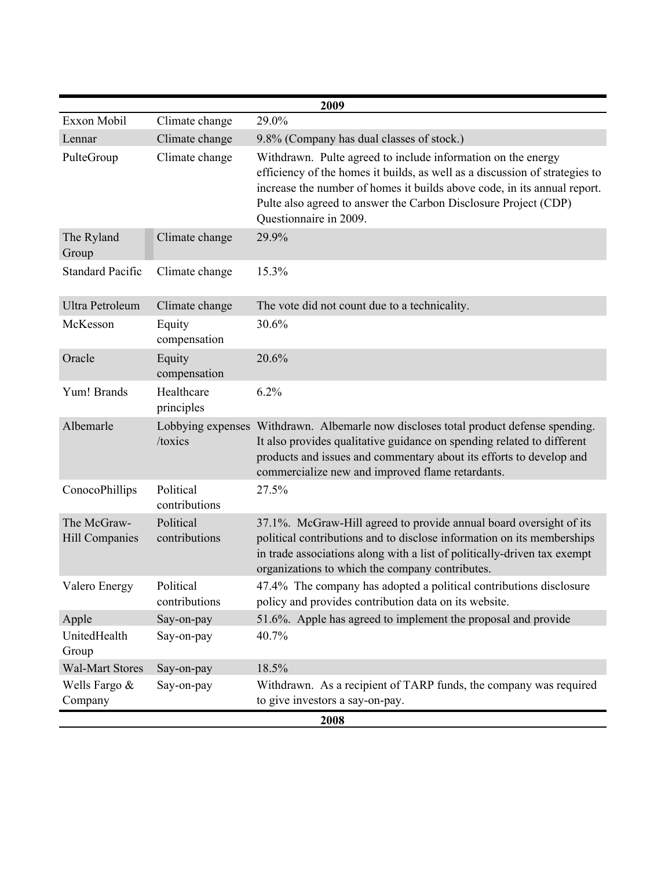| 2009                                 |                            |                                                                                                                                                                                                                                                                                                                      |
|--------------------------------------|----------------------------|----------------------------------------------------------------------------------------------------------------------------------------------------------------------------------------------------------------------------------------------------------------------------------------------------------------------|
| Exxon Mobil                          | Climate change             | 29.0%                                                                                                                                                                                                                                                                                                                |
| Lennar                               | Climate change             | 9.8% (Company has dual classes of stock.)                                                                                                                                                                                                                                                                            |
| PulteGroup                           | Climate change             | Withdrawn. Pulte agreed to include information on the energy<br>efficiency of the homes it builds, as well as a discussion of strategies to<br>increase the number of homes it builds above code, in its annual report.<br>Pulte also agreed to answer the Carbon Disclosure Project (CDP)<br>Questionnaire in 2009. |
| The Ryland<br>Group                  | Climate change             | 29.9%                                                                                                                                                                                                                                                                                                                |
| <b>Standard Pacific</b>              | Climate change             | 15.3%                                                                                                                                                                                                                                                                                                                |
| Ultra Petroleum                      | Climate change             | The vote did not count due to a technicality.                                                                                                                                                                                                                                                                        |
| McKesson                             | Equity<br>compensation     | 30.6%                                                                                                                                                                                                                                                                                                                |
| Oracle                               | Equity<br>compensation     | 20.6%                                                                                                                                                                                                                                                                                                                |
| Yum! Brands                          | Healthcare<br>principles   | 6.2%                                                                                                                                                                                                                                                                                                                 |
| Albemarle                            | /toxics                    | Lobbying expenses Withdrawn. Albemarle now discloses total product defense spending.<br>It also provides qualitative guidance on spending related to different<br>products and issues and commentary about its efforts to develop and<br>commercialize new and improved flame retardants.                            |
| ConocoPhillips                       | Political<br>contributions | 27.5%                                                                                                                                                                                                                                                                                                                |
| The McGraw-<br><b>Hill Companies</b> | Political<br>contributions | 37.1%. McGraw-Hill agreed to provide annual board oversight of its<br>political contributions and to disclose information on its memberships<br>in trade associations along with a list of politically-driven tax exempt<br>organizations to which the company contributes.                                          |
| Valero Energy                        | Political<br>contributions | 47.4% The company has adopted a political contributions disclosure<br>policy and provides contribution data on its website.                                                                                                                                                                                          |
| Apple                                | Say-on-pay                 | 51.6%. Apple has agreed to implement the proposal and provide                                                                                                                                                                                                                                                        |
| UnitedHealth<br>Group                | Say-on-pay                 | 40.7%                                                                                                                                                                                                                                                                                                                |
| <b>Wal-Mart Stores</b>               | Say-on-pay                 | 18.5%                                                                                                                                                                                                                                                                                                                |
| Wells Fargo &<br>Company             | Say-on-pay                 | Withdrawn. As a recipient of TARP funds, the company was required<br>to give investors a say-on-pay.                                                                                                                                                                                                                 |
|                                      |                            | 2008                                                                                                                                                                                                                                                                                                                 |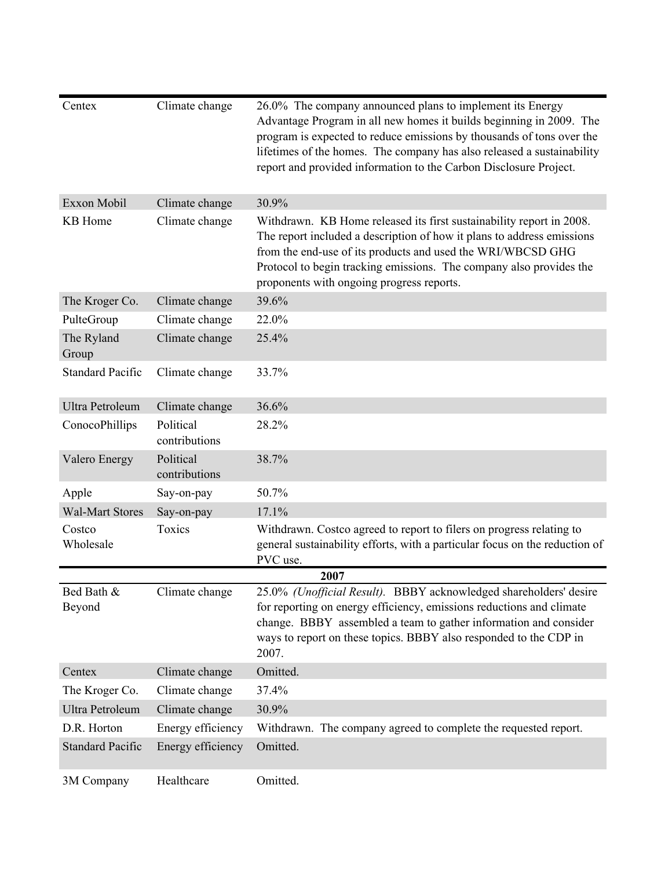| Centex                  | Climate change             | 26.0% The company announced plans to implement its Energy<br>Advantage Program in all new homes it builds beginning in 2009. The<br>program is expected to reduce emissions by thousands of tons over the<br>lifetimes of the homes. The company has also released a sustainability<br>report and provided information to the Carbon Disclosure Project. |
|-------------------------|----------------------------|----------------------------------------------------------------------------------------------------------------------------------------------------------------------------------------------------------------------------------------------------------------------------------------------------------------------------------------------------------|
| Exxon Mobil             | Climate change             | 30.9%                                                                                                                                                                                                                                                                                                                                                    |
| <b>KB</b> Home          | Climate change             | Withdrawn. KB Home released its first sustainability report in 2008.<br>The report included a description of how it plans to address emissions<br>from the end-use of its products and used the WRI/WBCSD GHG<br>Protocol to begin tracking emissions. The company also provides the<br>proponents with ongoing progress reports.                        |
| The Kroger Co.          | Climate change             | 39.6%                                                                                                                                                                                                                                                                                                                                                    |
| PulteGroup              | Climate change             | 22.0%                                                                                                                                                                                                                                                                                                                                                    |
| The Ryland<br>Group     | Climate change             | 25.4%                                                                                                                                                                                                                                                                                                                                                    |
| <b>Standard Pacific</b> | Climate change             | 33.7%                                                                                                                                                                                                                                                                                                                                                    |
| <b>Ultra Petroleum</b>  | Climate change             | 36.6%                                                                                                                                                                                                                                                                                                                                                    |
| ConocoPhillips          | Political<br>contributions | 28.2%                                                                                                                                                                                                                                                                                                                                                    |
| <b>Valero Energy</b>    | Political<br>contributions | 38.7%                                                                                                                                                                                                                                                                                                                                                    |
| Apple                   | Say-on-pay                 | 50.7%                                                                                                                                                                                                                                                                                                                                                    |
| <b>Wal-Mart Stores</b>  | Say-on-pay                 | 17.1%                                                                                                                                                                                                                                                                                                                                                    |
| Costco<br>Wholesale     | Toxics                     | Withdrawn. Costco agreed to report to filers on progress relating to<br>general sustainability efforts, with a particular focus on the reduction of<br>PVC use.                                                                                                                                                                                          |
|                         |                            | 2007                                                                                                                                                                                                                                                                                                                                                     |
| Bed Bath &<br>Beyond    | Climate change             | 25.0% (Unofficial Result). BBBY acknowledged shareholders' desire<br>for reporting on energy efficiency, emissions reductions and climate<br>change. BBBY assembled a team to gather information and consider<br>ways to report on these topics. BBBY also responded to the CDP in<br>2007.                                                              |
| Centex                  | Climate change             | Omitted.                                                                                                                                                                                                                                                                                                                                                 |
| The Kroger Co.          | Climate change             | 37.4%                                                                                                                                                                                                                                                                                                                                                    |
| Ultra Petroleum         | Climate change             | 30.9%                                                                                                                                                                                                                                                                                                                                                    |
| D.R. Horton             | Energy efficiency          | Withdrawn. The company agreed to complete the requested report.                                                                                                                                                                                                                                                                                          |
| <b>Standard Pacific</b> | Energy efficiency          | Omitted.                                                                                                                                                                                                                                                                                                                                                 |
| 3M Company              | Healthcare                 | Omitted.                                                                                                                                                                                                                                                                                                                                                 |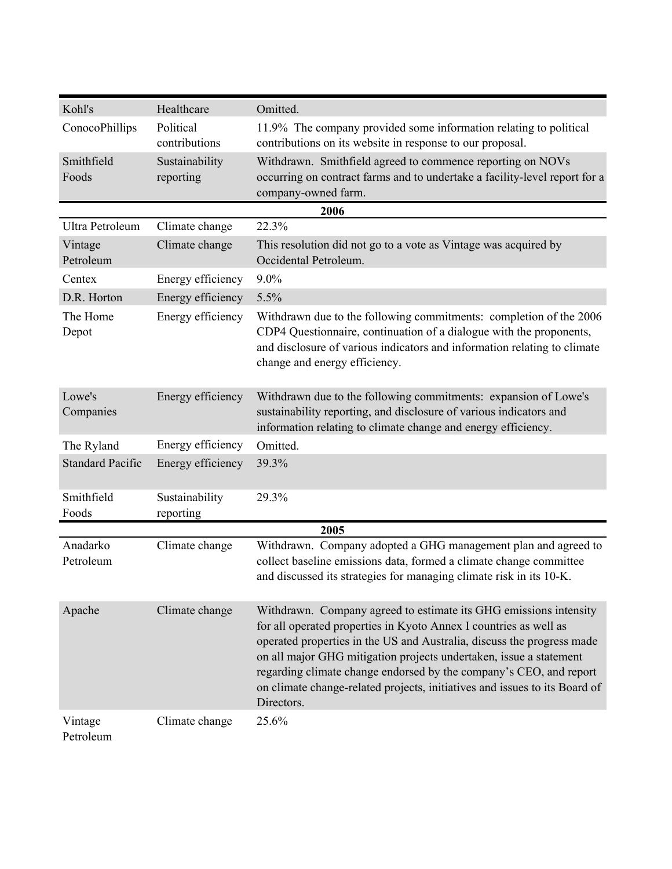| Kohl's                  | Healthcare                  | Omitted.                                                                                                                                                                                                                                                                                                                                                                                                                                                 |
|-------------------------|-----------------------------|----------------------------------------------------------------------------------------------------------------------------------------------------------------------------------------------------------------------------------------------------------------------------------------------------------------------------------------------------------------------------------------------------------------------------------------------------------|
| ConocoPhillips          | Political<br>contributions  | 11.9% The company provided some information relating to political<br>contributions on its website in response to our proposal.                                                                                                                                                                                                                                                                                                                           |
| Smithfield<br>Foods     | Sustainability<br>reporting | Withdrawn. Smithfield agreed to commence reporting on NOVs<br>occurring on contract farms and to undertake a facility-level report for a<br>company-owned farm.                                                                                                                                                                                                                                                                                          |
|                         |                             | 2006                                                                                                                                                                                                                                                                                                                                                                                                                                                     |
| Ultra Petroleum         | Climate change              | 22.3%                                                                                                                                                                                                                                                                                                                                                                                                                                                    |
| Vintage<br>Petroleum    | Climate change              | This resolution did not go to a vote as Vintage was acquired by<br>Occidental Petroleum.                                                                                                                                                                                                                                                                                                                                                                 |
| Centex                  | Energy efficiency           | 9.0%                                                                                                                                                                                                                                                                                                                                                                                                                                                     |
| D.R. Horton             | Energy efficiency           | 5.5%                                                                                                                                                                                                                                                                                                                                                                                                                                                     |
| The Home<br>Depot       | Energy efficiency           | Withdrawn due to the following commitments: completion of the 2006<br>CDP4 Questionnaire, continuation of a dialogue with the proponents,<br>and disclosure of various indicators and information relating to climate<br>change and energy efficiency.                                                                                                                                                                                                   |
| Lowe's<br>Companies     | Energy efficiency           | Withdrawn due to the following commitments: expansion of Lowe's<br>sustainability reporting, and disclosure of various indicators and<br>information relating to climate change and energy efficiency.                                                                                                                                                                                                                                                   |
| The Ryland              | Energy efficiency           | Omitted.                                                                                                                                                                                                                                                                                                                                                                                                                                                 |
| <b>Standard Pacific</b> | Energy efficiency           | 39.3%                                                                                                                                                                                                                                                                                                                                                                                                                                                    |
| Smithfield<br>Foods     | Sustainability<br>reporting | 29.3%                                                                                                                                                                                                                                                                                                                                                                                                                                                    |
|                         |                             | 2005                                                                                                                                                                                                                                                                                                                                                                                                                                                     |
| Anadarko<br>Petroleum   | Climate change              | Withdrawn. Company adopted a GHG management plan and agreed to<br>collect baseline emissions data, formed a climate change committee<br>and discussed its strategies for managing climate risk in its 10-K.                                                                                                                                                                                                                                              |
| Apache                  | Climate change              | Withdrawn. Company agreed to estimate its GHG emissions intensity<br>for all operated properties in Kyoto Annex I countries as well as<br>operated properties in the US and Australia, discuss the progress made<br>on all major GHG mitigation projects undertaken, issue a statement<br>regarding climate change endorsed by the company's CEO, and report<br>on climate change-related projects, initiatives and issues to its Board of<br>Directors. |
| Vintage<br>Petroleum    | Climate change              | 25.6%                                                                                                                                                                                                                                                                                                                                                                                                                                                    |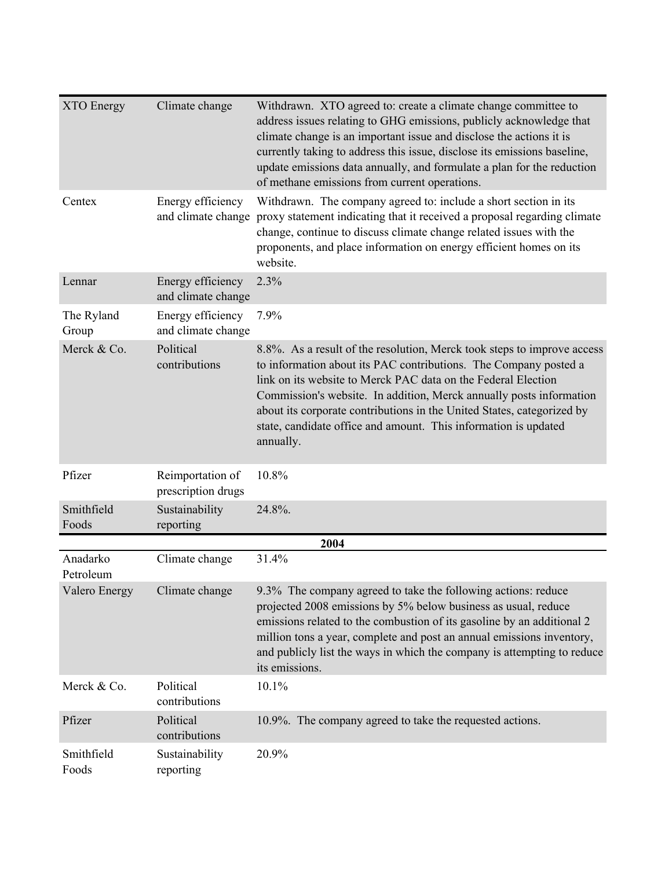| <b>XTO</b> Energy     | Climate change                          | Withdrawn. XTO agreed to: create a climate change committee to<br>address issues relating to GHG emissions, publicly acknowledge that<br>climate change is an important issue and disclose the actions it is<br>currently taking to address this issue, disclose its emissions baseline,<br>update emissions data annually, and formulate a plan for the reduction<br>of methane emissions from current operations.                           |
|-----------------------|-----------------------------------------|-----------------------------------------------------------------------------------------------------------------------------------------------------------------------------------------------------------------------------------------------------------------------------------------------------------------------------------------------------------------------------------------------------------------------------------------------|
| Centex                | Energy efficiency<br>and climate change | Withdrawn. The company agreed to: include a short section in its<br>proxy statement indicating that it received a proposal regarding climate<br>change, continue to discuss climate change related issues with the<br>proponents, and place information on energy efficient homes on its<br>website.                                                                                                                                          |
| Lennar                | Energy efficiency<br>and climate change | 2.3%                                                                                                                                                                                                                                                                                                                                                                                                                                          |
| The Ryland<br>Group   | Energy efficiency<br>and climate change | 7.9%                                                                                                                                                                                                                                                                                                                                                                                                                                          |
| Merck & Co.           | Political<br>contributions              | 8.8%. As a result of the resolution, Merck took steps to improve access<br>to information about its PAC contributions. The Company posted a<br>link on its website to Merck PAC data on the Federal Election<br>Commission's website. In addition, Merck annually posts information<br>about its corporate contributions in the United States, categorized by<br>state, candidate office and amount. This information is updated<br>annually. |
| Pfizer                | Reimportation of<br>prescription drugs  | 10.8%                                                                                                                                                                                                                                                                                                                                                                                                                                         |
| Smithfield<br>Foods   | Sustainability<br>reporting             | 24.8%.                                                                                                                                                                                                                                                                                                                                                                                                                                        |
|                       |                                         | 2004                                                                                                                                                                                                                                                                                                                                                                                                                                          |
| Anadarko<br>Petroleum | Climate change                          | 31.4%                                                                                                                                                                                                                                                                                                                                                                                                                                         |
| Valero Energy         | Climate change                          | 9.3% The company agreed to take the following actions: reduce<br>projected 2008 emissions by 5% below business as usual, reduce<br>emissions related to the combustion of its gasoline by an additional 2<br>million tons a year, complete and post an annual emissions inventory,<br>and publicly list the ways in which the company is attempting to reduce<br>its emissions.                                                               |
| Merck & Co.           | Political<br>contributions              | 10.1%                                                                                                                                                                                                                                                                                                                                                                                                                                         |
| Pfizer                | Political<br>contributions              | 10.9%. The company agreed to take the requested actions.                                                                                                                                                                                                                                                                                                                                                                                      |
| Smithfield<br>Foods   | Sustainability<br>reporting             | 20.9%                                                                                                                                                                                                                                                                                                                                                                                                                                         |